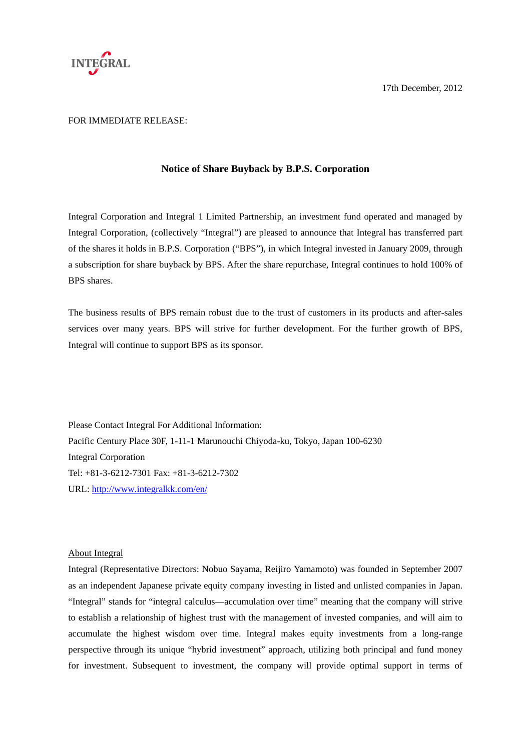

17th December, 2012

## FOR IMMEDIATE RELEASE:

## **Notice of Share Buyback by B.P.S. Corporation**

Integral Corporation and Integral 1 Limited Partnership, an investment fund operated and managed by Integral Corporation, (collectively "Integral") are pleased to announce that Integral has transferred part of the shares it holds in B.P.S. Corporation ("BPS"), in which Integral invested in January 2009, through a subscription for share buyback by BPS. After the share repurchase, Integral continues to hold 100% of BPS shares.

The business results of BPS remain robust due to the trust of customers in its products and after-sales services over many years. BPS will strive for further development. For the further growth of BPS, Integral will continue to support BPS as its sponsor.

Please Contact Integral For Additional Information: Pacific Century Place 30F, 1-11-1 Marunouchi Chiyoda-ku, Tokyo, Japan 100-6230 Integral Corporation Tel: +81-3-6212-7301 Fax: +81-3-6212-7302 URL: http://www.integralkk.com/en/

## About Integral

Integral (Representative Directors: Nobuo Sayama, Reijiro Yamamoto) was founded in September 2007 as an independent Japanese private equity company investing in listed and unlisted companies in Japan. "Integral" stands for "integral calculus—accumulation over time" meaning that the company will strive to establish a relationship of highest trust with the management of invested companies, and will aim to accumulate the highest wisdom over time. Integral makes equity investments from a long-range perspective through its unique "hybrid investment" approach, utilizing both principal and fund money for investment. Subsequent to investment, the company will provide optimal support in terms of